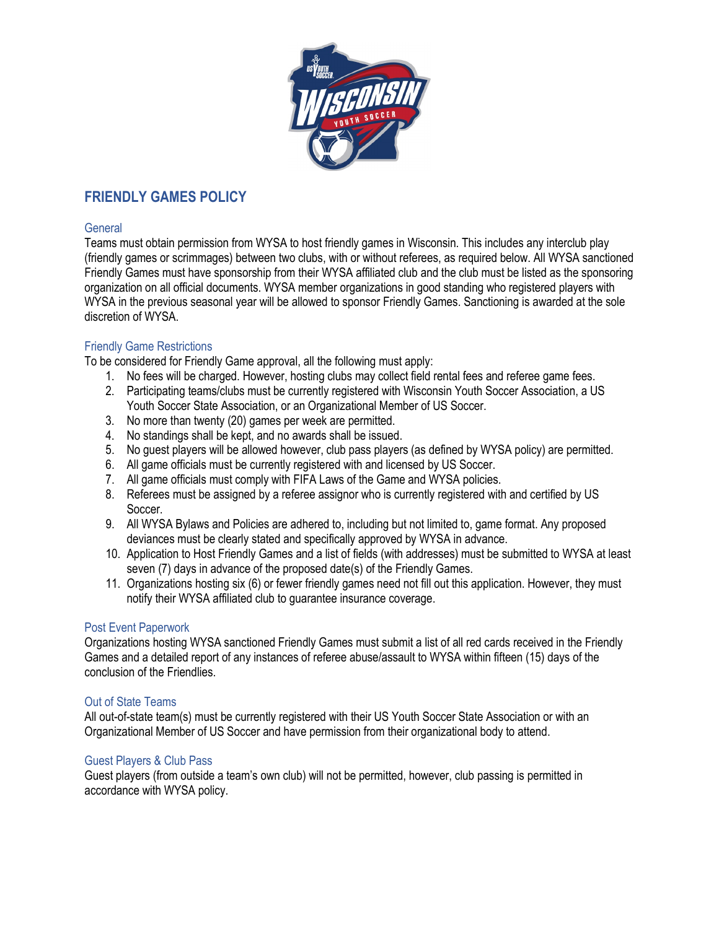

## **FRIENDLY GAMES POLICY**

#### **General**

Teams must obtain permission from WYSA to host friendly games in Wisconsin. This includes any interclub play (friendly games or scrimmages) between two clubs, with or without referees, as required below. All WYSA sanctioned Friendly Games must have sponsorship from their WYSA affiliated club and the club must be listed as the sponsoring organization on all official documents. WYSA member organizations in good standing who registered players with WYSA in the previous seasonal year will be allowed to sponsor Friendly Games. Sanctioning is awarded at the sole discretion of WYSA.

## Friendly Game Restrictions

To be considered for Friendly Game approval, all the following must apply:

- 1. No fees will be charged. However, hosting clubs may collect field rental fees and referee game fees.
- 2. Participating teams/clubs must be currently registered with Wisconsin Youth Soccer Association, a US Youth Soccer State Association, or an Organizational Member of US Soccer.
- 3. No more than twenty (20) games per week are permitted.
- 4. No standings shall be kept, and no awards shall be issued.
- 5. No guest players will be allowed however, club pass players (as defined by WYSA policy) are permitted.
- 6. All game officials must be currently registered with and licensed by US Soccer.
- 7. All game officials must comply with FIFA Laws of the Game and WYSA policies.
- 8. Referees must be assigned by a referee assignor who is currently registered with and certified by US Soccer.
- 9. All WYSA Bylaws and Policies are adhered to, including but not limited to, game format. Any proposed deviances must be clearly stated and specifically approved by WYSA in advance.
- 10. Application to Host Friendly Games and a list of fields (with addresses) must be submitted to WYSA at least seven (7) days in advance of the proposed date(s) of the Friendly Games.
- 11. Organizations hosting six (6) or fewer friendly games need not fill out this application. However, they must notify their WYSA affiliated club to guarantee insurance coverage.

## Post Event Paperwork

Organizations hosting WYSA sanctioned Friendly Games must submit a list of all red cards received in the Friendly Games and a detailed report of any instances of referee abuse/assault to WYSA within fifteen (15) days of the conclusion of the Friendlies.

## Out of State Teams

All out-of-state team(s) must be currently registered with their US Youth Soccer State Association or with an Organizational Member of US Soccer and have permission from their organizational body to attend.

## Guest Players & Club Pass

Guest players (from outside a team's own club) will not be permitted, however, club passing is permitted in accordance with WYSA policy.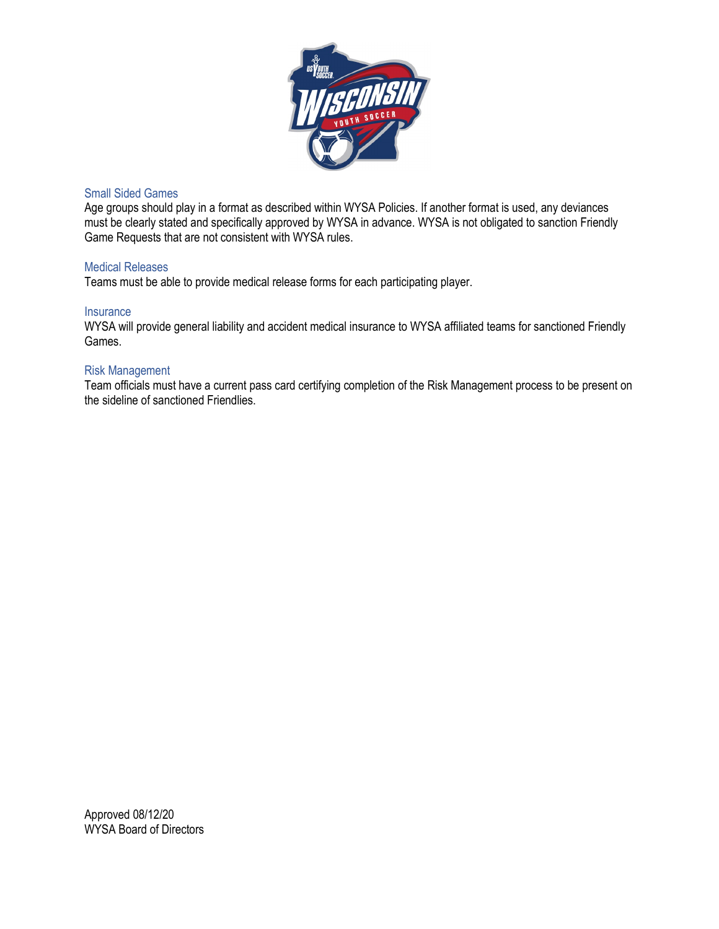

#### Small Sided Games

Age groups should play in a format as described within WYSA Policies. If another format is used, any deviances must be clearly stated and specifically approved by WYSA in advance. WYSA is not obligated to sanction Friendly Game Requests that are not consistent with WYSA rules.

#### Medical Releases

Teams must be able to provide medical release forms for each participating player.

#### **Insurance**

WYSA will provide general liability and accident medical insurance to WYSA affiliated teams for sanctioned Friendly Games.

#### Risk Management

Team officials must have a current pass card certifying completion of the Risk Management process to be present on the sideline of sanctioned Friendlies.